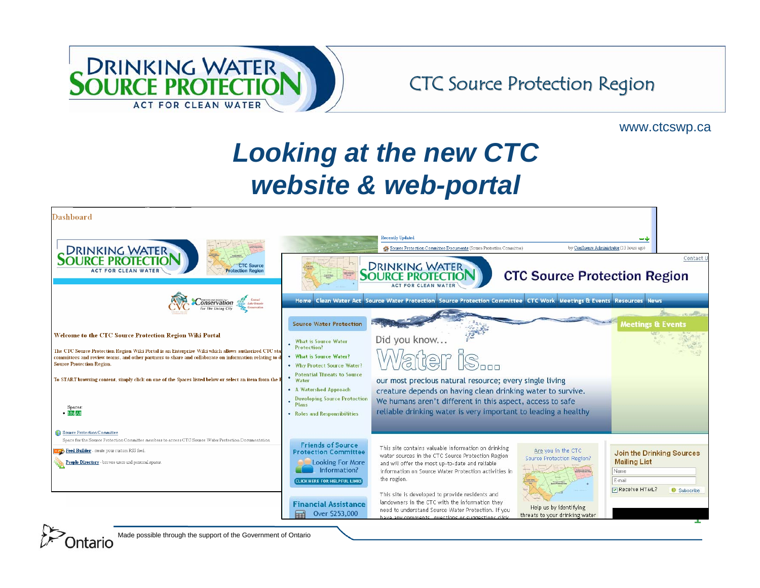

#### www.ctcswp.ca

# *Looking at the new CTC website & web-portal*



Made possible through the support of the Government of Ontario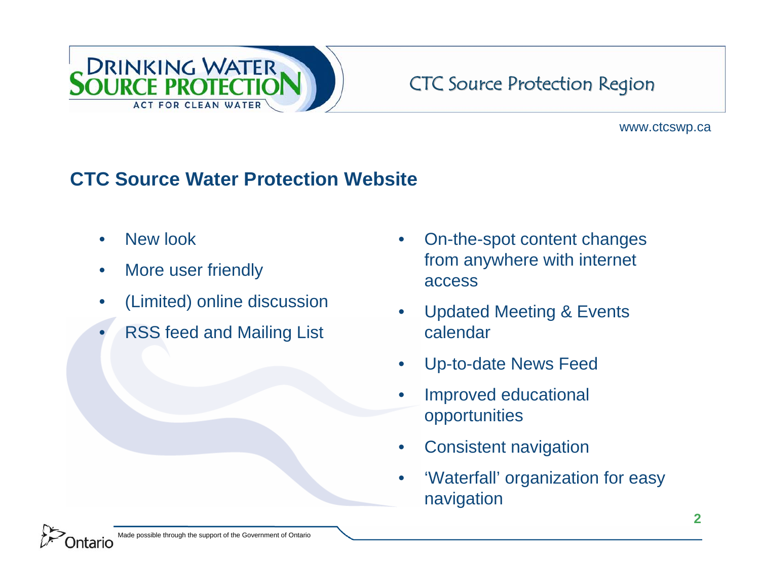

### www.ctcswp.ca

## **CTC Source Water Protection Website**

- •New look
- •More user friendly
- •(Limited) online discussion
- •RSS feed and Mailing List
- • On-the-spot content changes from anywhere with internet access
- $\bullet$  Updated Meeting & Events calendar
- $\bullet$ Up-to-date News Feed
- $\bullet$  Improved educational opportunities
- •Consistent navigation
- • 'Waterfall' organization for easy navigation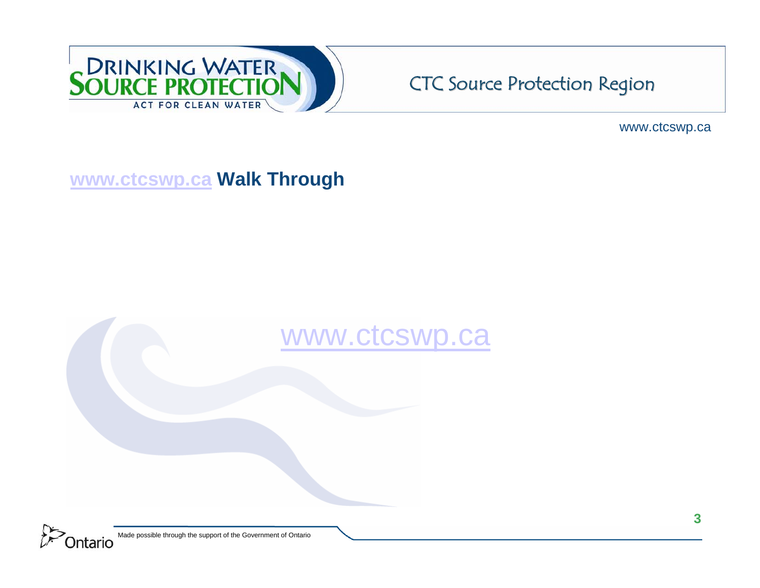

www.ctcswp.ca

## **www.ctcswp.ca Walk Through**

# www.ctcswp.ca

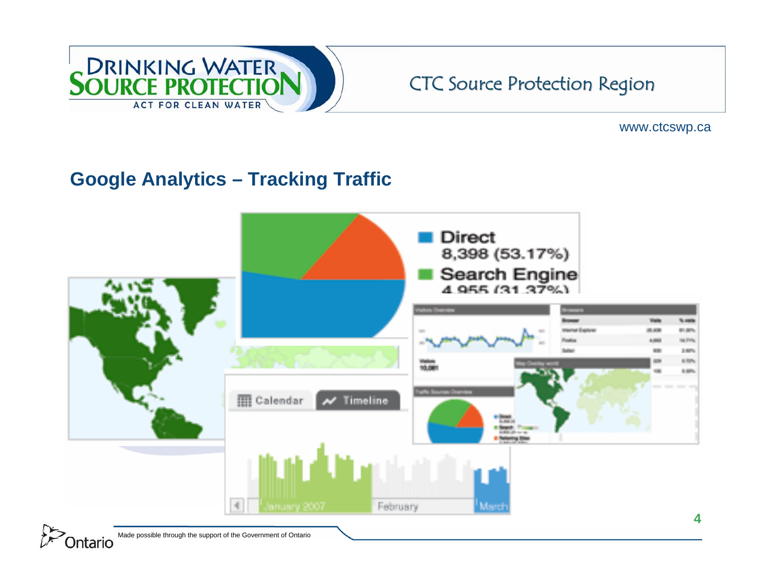

www.ctcswp.ca

# **Google Analytics – Tracking Traffic**



Made possible through the support of the Government of Ontario Ontario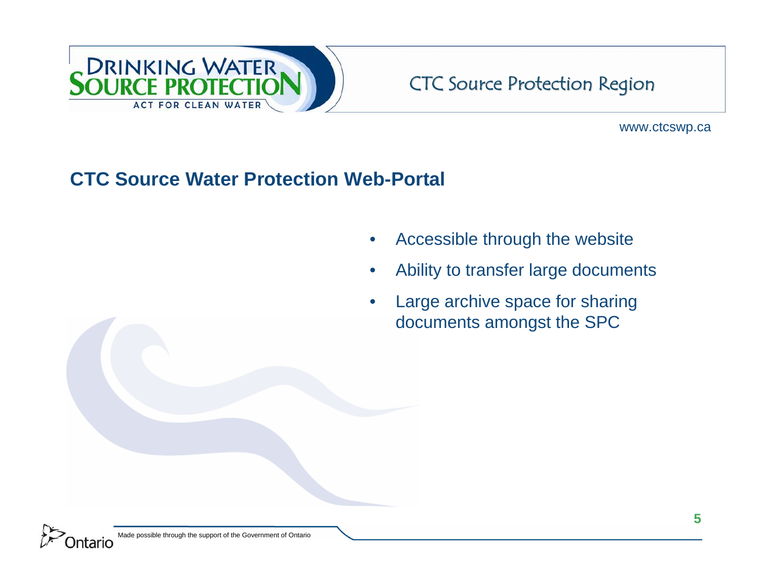

www.ctcswp.ca

### **CTC Source Water Protection Web-Portal**

- •Accessible through the website
- •Ability to transfer large documents
- • Large archive space for sharing documents amongst the SPC

Made possible through the support of the Government of Ontario ntario